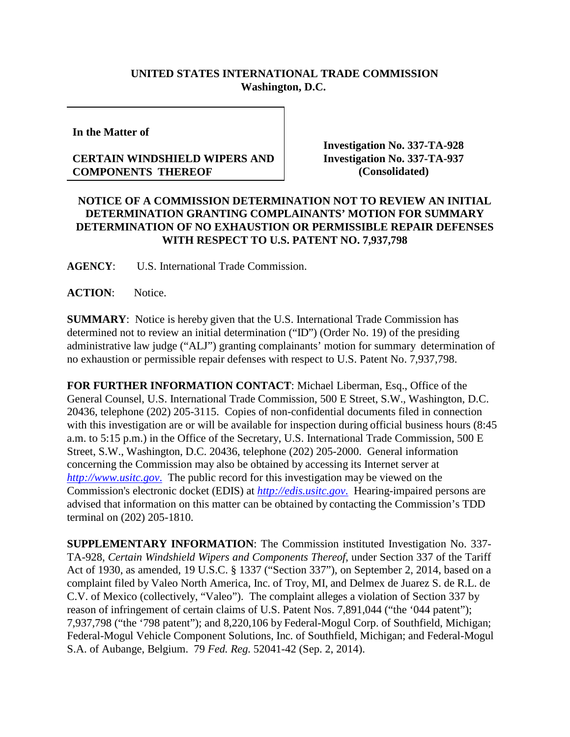## **UNITED STATES INTERNATIONAL TRADE COMMISSION Washington, D.C.**

**In the Matter of**

## **CERTAIN WINDSHIELD WIPERS AND COMPONENTS THEREOF**

**Investigation No. 337-TA-928 Investigation No. 337-TA-937 (Consolidated)**

## **NOTICE OF A COMMISSION DETERMINATION NOT TO REVIEW AN INITIAL DETERMINATION GRANTING COMPLAINANTS' MOTION FOR SUMMARY DETERMINATION OF NO EXHAUSTION OR PERMISSIBLE REPAIR DEFENSES WITH RESPECT TO U.S. PATENT NO. 7,937,798**

**AGENCY**: U.S. International Trade Commission.

**ACTION**: Notice.

**SUMMARY**: Notice is hereby given that the U.S. International Trade Commission has determined not to review an initial determination ("ID") (Order No. 19) of the presiding administrative law judge ("ALJ") granting complainants' motion for summary determination of no exhaustion or permissible repair defenses with respect to U.S. Patent No. 7,937,798.

**FOR FURTHER INFORMATION CONTACT**: Michael Liberman, Esq., Office of the General Counsel, U.S. International Trade Commission, 500 E Street, S.W., Washington, D.C. 20436, telephone (202) 205-3115. Copies of non-confidential documents filed in connection with this investigation are or will be available for inspection during official business hours (8:45 a.m. to 5:15 p.m.) in the Office of the Secretary, U.S. International Trade Commission, 500 E Street, S.W., Washington, D.C. 20436, telephone (202) 205-2000. General information concerning the Commission may also be obtained by accessing its Internet server at *[http://www.usitc.gov](http://www.usitc.gov./)*. The public record for this investigation may be viewed on the Commission's electronic docket (EDIS) at *[http://edis.usitc.gov](http://edis.usitc.gov./)*. Hearing-impaired persons are advised that information on this matter can be obtained by contacting the Commission's TDD terminal on (202) 205-1810.

**SUPPLEMENTARY INFORMATION**: The Commission instituted Investigation No. 337- TA-928, *Certain Windshield Wipers and Components Thereof*, under Section 337 of the Tariff Act of 1930, as amended, 19 U.S.C. § 1337 ("Section 337"), on September 2, 2014, based on a complaint filed by Valeo North America, Inc. of Troy, MI, and Delmex de Juarez S. de R.L. de C.V. of Mexico (collectively, "Valeo"). The complaint alleges a violation of Section 337 by reason of infringement of certain claims of U.S. Patent Nos. 7,891,044 ("the '044 patent"); 7,937,798 ("the '798 patent"); and 8,220,106 by Federal-Mogul Corp. of Southfield, Michigan; Federal-Mogul Vehicle Component Solutions, Inc. of Southfield, Michigan; and Federal-Mogul S.A. of Aubange, Belgium. 79 *Fed. Reg.* 52041-42 (Sep. 2, 2014).